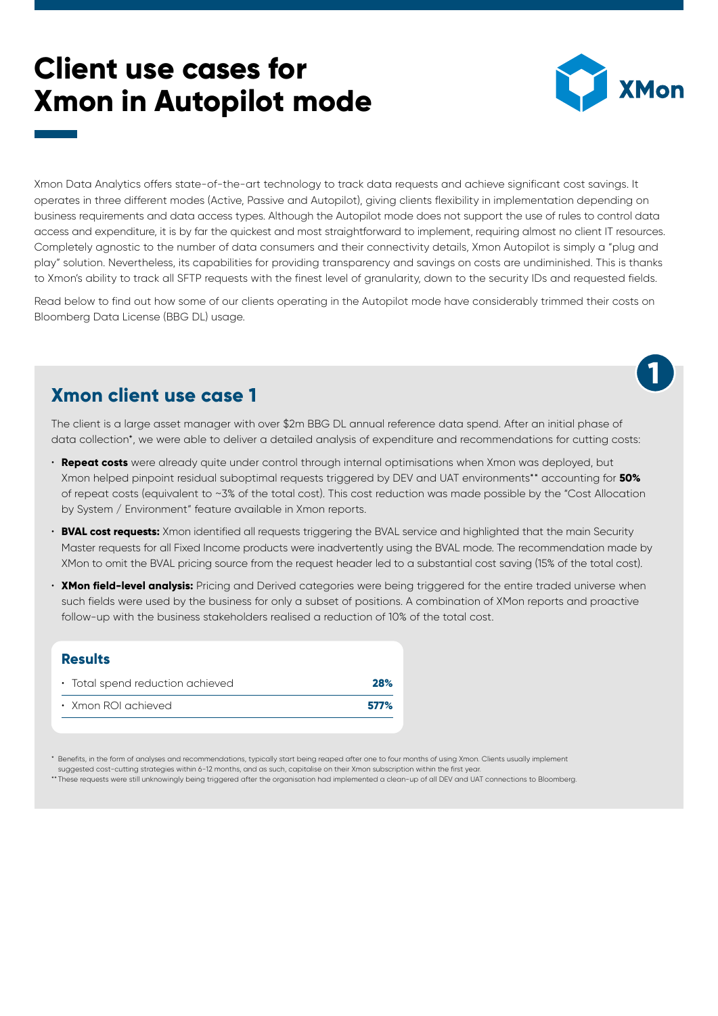# **Client use cases for Xmon in Autopilot mode**



**1**

Xmon Data Analytics offers state-of-the-art technology to track data requests and achieve significant cost savings. It operates in three different modes (Active, Passive and Autopilot), giving clients flexibility in implementation depending on business requirements and data access types. Although the Autopilot mode does not support the use of rules to control data access and expenditure, it is by far the quickest and most straightforward to implement, requiring almost no client IT resources. Completely agnostic to the number of data consumers and their connectivity details, Xmon Autopilot is simply a "plug and play" solution. Nevertheless, its capabilities for providing transparency and savings on costs are undiminished. This is thanks to Xmon's ability to track all SFTP requests with the finest level of granularity, down to the security IDs and requested fields.

Read below to find out how some of our clients operating in the Autopilot mode have considerably trimmed their costs on Bloomberg Data License (BBG DL) usage.

## **Xmon client use case 1**

The client is a large asset manager with over \$2m BBG DL annual reference data spend. After an initial phase of data collection\*, we were able to deliver a detailed analysis of expenditure and recommendations for cutting costs:

- **Repeat costs** were already quite under control through internal optimisations when Xmon was deployed, but Xmon helped pinpoint residual suboptimal requests triggered by DEV and UAT environments\*\* accounting for **50%** of repeat costs (equivalent to ~3% of the total cost). This cost reduction was made possible by the "Cost Allocation by System / Environment" feature available in Xmon reports.
- **BVAL cost requests:** Xmon identified all requests triggering the BVAL service and highlighted that the main Security Master requests for all Fixed Income products were inadvertently using the BVAL mode. The recommendation made by XMon to omit the BVAL pricing source from the request header led to a substantial cost saving (15% of the total cost).
- **XMon field-level analysis:** Pricing and Derived categories were being triggered for the entire traded universe when such fields were used by the business for only a subset of positions. A combination of XMon reports and proactive follow-up with the business stakeholders realised a reduction of 10% of the total cost.

#### **Results**

| • Total spend reduction achieved | <b>28%</b> |
|----------------------------------|------------|
| $\cdot$ Xmon ROI achieved        | 577%       |

\* Benefits, in the form of analyses and recommendations, typically start being reaped after one to four months of using Xmon. Clients usually implement suggested cost-cutting strategies within 6-12 months, and as such, capitalise on their Xmon subscription within the first year.

\*\* These requests were still unknowingly being triggered after the organisation had implemented a clean-up of all DEV and UAT connections to Bloomberg.